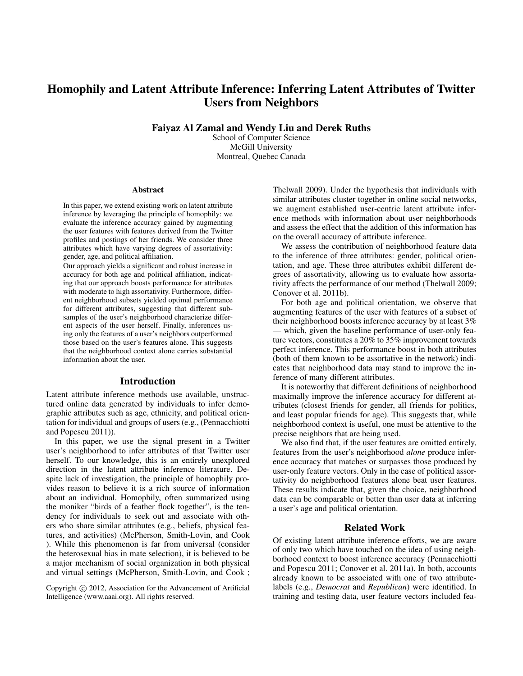# Homophily and Latent Attribute Inference: Inferring Latent Attributes of Twitter Users from Neighbors

Faiyaz Al Zamal and Wendy Liu and Derek Ruths

School of Computer Science McGill University Montreal, Quebec Canada

#### Abstract

In this paper, we extend existing work on latent attribute inference by leveraging the principle of homophily: we evaluate the inference accuracy gained by augmenting the user features with features derived from the Twitter profiles and postings of her friends. We consider three attributes which have varying degrees of assortativity: gender, age, and political affiliation.

Our approach yields a significant and robust increase in accuracy for both age and political affiliation, indicating that our approach boosts performance for attributes with moderate to high assortativity. Furthermore, different neighborhood subsets yielded optimal performance for different attributes, suggesting that different subsamples of the user's neighborhood characterize different aspects of the user herself. Finally, inferences using only the features of a user's neighbors outperformed those based on the user's features alone. This suggests that the neighborhood context alone carries substantial information about the user.

### Introduction

Latent attribute inference methods use available, unstructured online data generated by individuals to infer demographic attributes such as age, ethnicity, and political orientation for individual and groups of users (e.g., (Pennacchiotti and Popescu 2011)).

In this paper, we use the signal present in a Twitter user's neighborhood to infer attributes of that Twitter user herself. To our knowledge, this is an entirely unexplored direction in the latent attribute inference literature. Despite lack of investigation, the principle of homophily provides reason to believe it is a rich source of information about an individual. Homophily, often summarized using the moniker "birds of a feather flock together", is the tendency for individuals to seek out and associate with others who share similar attributes (e.g., beliefs, physical features, and activities) (McPherson, Smith-Lovin, and Cook ). While this phenomenon is far from universal (consider the heterosexual bias in mate selection), it is believed to be a major mechanism of social organization in both physical and virtual settings (McPherson, Smith-Lovin, and Cook ;

Thelwall 2009). Under the hypothesis that individuals with similar attributes cluster together in online social networks, we augment established user-centric latent attribute inference methods with information about user neighborhoods and assess the effect that the addition of this information has on the overall accuracy of attribute inference.

We assess the contribution of neighborhood feature data to the inference of three attributes: gender, political orientation, and age. These three attributes exhibit different degrees of assortativity, allowing us to evaluate how assortativity affects the performance of our method (Thelwall 2009; Conover et al. 2011b).

For both age and political orientation, we observe that augmenting features of the user with features of a subset of their neighborhood boosts inference accuracy by at least 3% — which, given the baseline performance of user-only feature vectors, constitutes a 20% to 35% improvement towards perfect inference. This performance boost in both attributes (both of them known to be assortative in the network) indicates that neighborhood data may stand to improve the inference of many different attributes.

It is noteworthy that different definitions of neighborhood maximally improve the inference accuracy for different attributes (closest friends for gender, all friends for politics, and least popular friends for age). This suggests that, while neighborhood context is useful, one must be attentive to the precise neighbors that are being used.

We also find that, if the user features are omitted entirely, features from the user's neighborhood *alone* produce inference accuracy that matches or surpasses those produced by user-only feature vectors. Only in the case of political assortativity do neighborhood features alone beat user features. These results indicate that, given the choice, neighborhood data can be comparable or better than user data at inferring a user's age and political orientation.

## Related Work

Of existing latent attribute inference efforts, we are aware of only two which have touched on the idea of using neighborhood context to boost inference accuracy (Pennacchiotti and Popescu 2011; Conover et al. 2011a). In both, accounts already known to be associated with one of two attributelabels (e.g., *Democrat* and *Republican*) were identified. In training and testing data, user feature vectors included fea-

Copyright (c) 2012, Association for the Advancement of Artificial Intelligence (www.aaai.org). All rights reserved.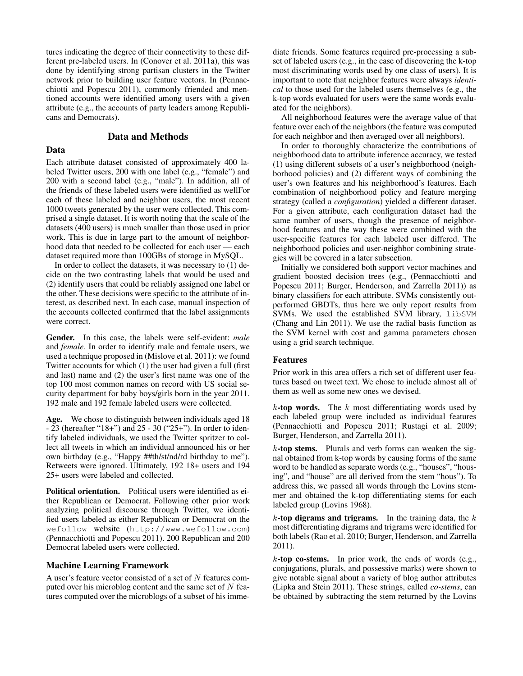tures indicating the degree of their connectivity to these different pre-labeled users. In (Conover et al. 2011a), this was done by identifying strong partisan clusters in the Twitter network prior to building user feature vectors. In (Pennacchiotti and Popescu 2011), commonly friended and mentioned accounts were identified among users with a given attribute (e.g., the accounts of party leaders among Republicans and Democrats).

# Data and Methods

# Data

Each attribute dataset consisted of approximately 400 labeled Twitter users, 200 with one label (e.g., "female") and 200 with a second label (e.g., "male"). In addition, all of the friends of these labeled users were identified as wellFor each of these labeled and neighbor users, the most recent 1000 tweets generated by the user were collected. This comprised a single dataset. It is worth noting that the scale of the datasets (400 users) is much smaller than those used in prior work. This is due in large part to the amount of neighborhood data that needed to be collected for each user — each dataset required more than 100GBs of storage in MySQL.

In order to collect the datasets, it was necessary to (1) decide on the two contrasting labels that would be used and (2) identify users that could be reliably assigned one label or the other. These decisions were specific to the attribute of interest, as described next. In each case, manual inspection of the accounts collected confirmed that the label assignments were correct.

Gender. In this case, the labels were self-evident: *male* and *female*. In order to identify male and female users, we used a technique proposed in (Mislove et al. 2011): we found Twitter accounts for which (1) the user had given a full (first and last) name and (2) the user's first name was one of the top 100 most common names on record with US social security department for baby boys/girls born in the year 2011. 192 male and 192 female labeled users were collected.

Age. We chose to distinguish between individuals aged 18 - 23 (hereafter "18+") and 25 - 30 ("25+"). In order to identify labeled individuals, we used the Twitter spritzer to collect all tweets in which an individual announced his or her own birthday (e.g., "Happy ##th/st/nd/rd birthday to me"). Retweets were ignored. Ultimately, 192 18+ users and 194 25+ users were labeled and collected.

Political orientation. Political users were identified as either Republican or Democrat. Following other prior work analyzing political discourse through Twitter, we identified users labeled as either Republican or Democrat on the wefollow website (http://www.wefollow.com) (Pennacchiotti and Popescu 2011). 200 Republican and 200 Democrat labeled users were collected.

#### Machine Learning Framework

A user's feature vector consisted of a set of N features computed over his microblog content and the same set of  $N$  features computed over the microblogs of a subset of his immediate friends. Some features required pre-processing a subset of labeled users (e.g., in the case of discovering the k-top most discriminating words used by one class of users). It is important to note that neighbor features were always *identical* to those used for the labeled users themselves (e.g., the k-top words evaluated for users were the same words evaluated for the neighbors).

All neighborhood features were the average value of that feature over each of the neighbors (the feature was computed for each neighbor and then averaged over all neighbors).

In order to thoroughly characterize the contributions of neighborhood data to attribute inference accuracy, we tested (1) using different subsets of a user's neighborhood (neighborhood policies) and (2) different ways of combining the user's own features and his neighborhood's features. Each combination of neighborhood policy and feature merging strategy (called a *configuration*) yielded a different dataset. For a given attribute, each configuration dataset had the same number of users, though the presence of neighborhood features and the way these were combined with the user-specific features for each labeled user differed. The neighborhood policies and user-neighbor combining strategies will be covered in a later subsection.

Initially we considered both support vector machines and gradient boosted decision trees (e.g., (Pennacchiotti and Popescu 2011; Burger, Henderson, and Zarrella 2011)) as binary classifiers for each attribute. SVMs consistently outperformed GBDTs, thus here we only report results from SVMs. We used the established SVM library, libSVM (Chang and Lin 2011). We use the radial basis function as the SVM kernel with cost and gamma parameters chosen using a grid search technique.

## Features

Prior work in this area offers a rich set of different user features based on tweet text. We chose to include almost all of them as well as some new ones we devised.

 $k$ -top words. The k most differentiating words used by each labeled group were included as individual features (Pennacchiotti and Popescu 2011; Rustagi et al. 2009; Burger, Henderson, and Zarrella 2011).

 $k$ -top stems. Plurals and verb forms can weaken the signal obtained from k-top words by causing forms of the same word to be handled as separate words (e.g., "houses", "housing", and "house" are all derived from the stem "hous"). To address this, we passed all words through the Lovins stemmer and obtained the k-top differentiating stems for each labeled group (Lovins 1968).

 $k$ -top digrams and trigrams. In the training data, the  $k$ most differentiating digrams and trigrams were identified for both labels (Rao et al. 2010; Burger, Henderson, and Zarrella 2011).

 $k$ -top co-stems. In prior work, the ends of words (e.g., conjugations, plurals, and possessive marks) were shown to give notable signal about a variety of blog author attributes (Lipka and Stein 2011). These strings, called *co-stems*, can be obtained by subtracting the stem returned by the Lovins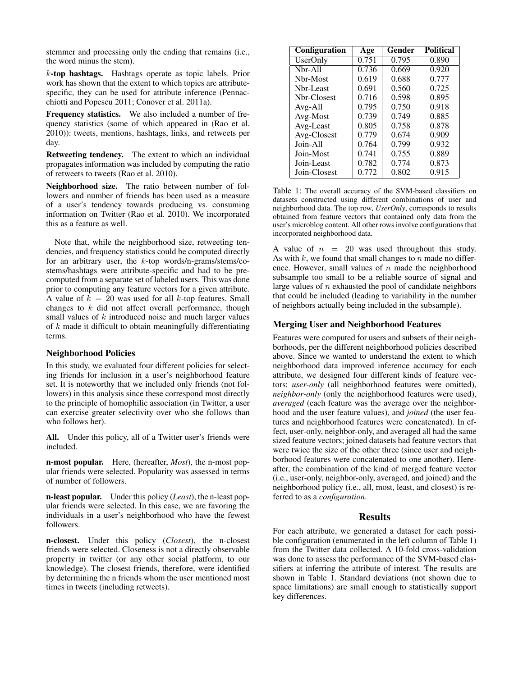stemmer and processing only the ending that remains (i.e., the word minus the stem).

k-top hashtags. Hashtags operate as topic labels. Prior work has shown that the extent to which topics are attributespecific, they can be used for attribute inference (Pennacchiotti and Popescu 2011; Conover et al. 2011a).

Frequency statistics. We also included a number of frequency statistics (some of which appeared in (Rao et al. 2010)): tweets, mentions, hashtags, links, and retweets per day.

Retweeting tendency. The extent to which an individual propagates information was included by computing the ratio of retweets to tweets (Rao et al. 2010).

Neighborhood size. The ratio between number of followers and number of friends has been used as a measure of a user's tendency towards producing vs. consuming information on Twitter (Rao et al. 2010). We incorporated this as a feature as well.

Note that, while the neighborhood size, retweeting tendencies, and frequency statistics could be computed directly for an arbitrary user, the k-top words/n-grams/stems/costems/hashtags were attribute-specific and had to be precomputed from a separate set of labeled users. This was done prior to computing any feature vectors for a given attribute. A value of  $k = 20$  was used for all k-top features. Small changes to  $k$  did not affect overall performance, though small values of k introduced noise and much larger values of  $k$  made it difficult to obtain meaningfully differentiating terms.

#### Neighborhood Policies

In this study, we evaluated four different policies for selecting friends for inclusion in a user's neighborhood feature set. It is noteworthy that we included only friends (not followers) in this analysis since these correspond most directly to the principle of homophilic association (in Twitter, a user can exercise greater selectivity over who she follows than who follows her).

All. Under this policy, all of a Twitter user's friends were included.

n-most popular. Here, (hereafter, *Most*), the n-most popular friends were selected. Popularity was assessed in terms of number of followers.

n-least popular. Under this policy (*Least*), the n-least popular friends were selected. In this case, we are favoring the individuals in a user's neighborhood who have the fewest followers.

n-closest. Under this policy (*Closest*), the n-closest friends were selected. Closeness is not a directly observable property in twitter (or any other social platform, to our knowledge). The closest friends, therefore, were identified by determining the n friends whom the user mentioned most times in tweets (including retweets).

| <b>Configuration</b> | Age   | Gender | <b>Political</b> |
|----------------------|-------|--------|------------------|
| <b>UserOnly</b>      | 0.751 | 0.795  | 0.890            |
| Nbr-All              | 0.736 | 0.669  | 0.920            |
| Nbr-Most             | 0.619 | 0.688  | 0.777            |
| Nbr-Least            | 0.691 | 0.560  | 0.725            |
| Nbr-Closest          | 0.716 | 0.598  | 0.895            |
| $Avg-All$            | 0.795 | 0.750  | 0.918            |
| Avg-Most             | 0.739 | 0.749  | 0.885            |
| Avg-Least            | 0.805 | 0.758  | 0.878            |
| Avg-Closest          | 0.779 | 0.674  | 0.909            |
| Join-All             | 0.764 | 0.799  | 0.932            |
| Join-Most            | 0.741 | 0.755  | 0.889            |
| Join-Least           | 0.782 | 0.774  | 0.873            |
| Join-Closest         | 0.772 | 0.802  | 0.915            |

Table 1: The overall accuracy of the SVM-based classifiers on datasets constructed using different combinations of user and neighborhood data. The top row, *UserOnly*, corresponds to results obtained from feature vectors that contained only data from the user's microblog content. All other rows involve configurations that incorporated neighborhood data.

A value of  $n = 20$  was used throughout this study. As with  $k$ , we found that small changes to  $n$  made no difference. However, small values of  $n$  made the neighborhood subsample too small to be a reliable source of signal and large values of  $n$  exhausted the pool of candidate neighbors that could be included (leading to variability in the number of neighbors actually being included in the subsample).

# Merging User and Neighborhood Features

Features were computed for users and subsets of their neighborhoods, per the different neighborhood policies described above. Since we wanted to understand the extent to which neighborhood data improved inference accuracy for each attribute, we designed four different kinds of feature vectors: *user-only* (all neighborhood features were omitted), *neighbor-only* (only the neighborhood features were used), *averaged* (each feature was the average over the neighborhood and the user feature values), and *joined* (the user features and neighborhood features were concatenated). In effect, user-only, neighbor-only, and averaged all had the same sized feature vectors; joined datasets had feature vectors that were twice the size of the other three (since user and neighborhood features were concatenated to one another). Hereafter, the combination of the kind of merged feature vector (i.e., user-only, neighbor-only, averaged, and joined) and the neighborhood policy (i.e., all, most, least, and closest) is referred to as a *configuration*.

#### Results

For each attribute, we generated a dataset for each possible configuration (enumerated in the left column of Table 1) from the Twitter data collected. A 10-fold cross-validation was done to assess the performance of the SVM-based classifiers at inferring the attribute of interest. The results are shown in Table 1. Standard deviations (not shown due to space limitations) are small enough to statistically support key differences.